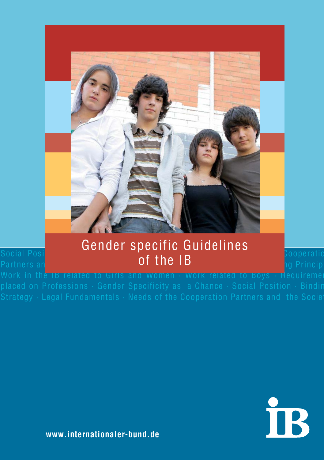

#### Social Position · Binding Strategy · Legal Fundamentals · New York · Needs of the Cooperatio Partners an<mark>d the Society <sup>1</sup>D in the IB in different Contexts in different Contexts in different Contexts in different Contexts in different Contexts in different Contexts in different Contexts in different Contexts in di</mark> Gender specific Guidelines of the IB

Work in the IB related to Girls and Women  $\cdot$  Work related to Boys  $\cdot$  Requireme



**www.internationaler-bund.de**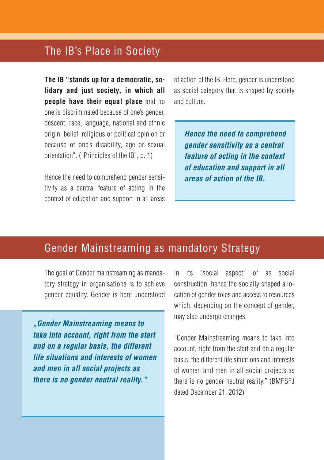## The IB's Place in Society

**The IB "stands up for a democratic, solidary and just society, in which all people have their equal place** and no one is discriminated because of one's gender, descent, race, language, national and ethnic origin, belief, religious or political opinion or because of one's disability, age or sexual orientation". ("Principles of the IB", p. 1)

Hence the need to comprehend gender sensitivity as a central feature of acting in the context of education and support in all areas of action of the IB. Here, gender is understood as social category that is shaped by society and culture.

**Hence the need to comprehend gender sensitivity as a central feature of acting in the context of education and support in all areas of action of the IB.**

## Gender Mainstreaming as mandatory Strategy

The goal of Gender mainstreaming as mandatory strategy in organisations is to achieve gender equality. Gender is here understood

**"Gender Mainstreaming means to take into account, right from the start and on a regular basis, the different life situations and interests of women and men in all social projects as there is no gender neutral reality."**

in its "social aspect" or as social construction, hence the socially shaped allocation of gender roles and access to resources which, depending on the concept of gender, may also undergo changes.

"Gender Mainstreaming means to take into account, right from the start and on a regular basis, the different life situations and interests of women and men in all social projects as there is no gender neutral reality." (BMFSFJ dated December 21, 2012)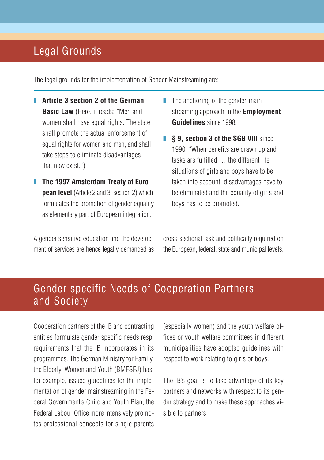# Legal Grounds

The legal grounds for the implementation of Gender Mainstreaming are:

- **F** Article 3 section 2 of the German **Basic Law** (Here, it reads: "Men and women shall have equal rights. The state shall promote the actual enforcement of equal rights for women and men, and shall take steps to eliminate disadvantages that now exist.")
- **The 1997 Amsterdam Treaty at European level** (Article 2 and 3, section 2) which formulates the promotion of gender equality as elementary part of European integration.
- $\blacksquare$  The anchoring of the gender-mainstreaming approach in the **Employment Guidelines** since 1998.
- **S** 9, section 3 of the SGB VIII since 1990: "When benefits are drawn up and tasks are fulfilled … the different life situations of girls and boys have to be taken into account, disadvantages have to be eliminated and the equality of girls and boys has to be promoted."

A gender sensitive education and the development of services are hence legally demanded as cross-sectional task and politically required on the European, federal, state and municipal levels.

# Gender specific Needs of Cooperation Partners and Society

Cooperation partners of the IB and contracting entities formulate gender specific needs resp. requirements that the IB incorporates in its programmes. The German Ministry for Family, the Elderly, Women and Youth (BMFSFJ) has, for example, issued guidelines for the implementation of gender mainstreaming in the Federal Government's Child and Youth Plan; the Federal Labour Office more intensively promotes professional concepts for single parents (especially women) and the youth welfare offices or youth welfare committees in different municipalities have adopted guidelines with respect to work relating to girls or boys.

The IB's goal is to take advantage of its key partners and networks with respect to its gender strategy and to make these approaches visible to partners.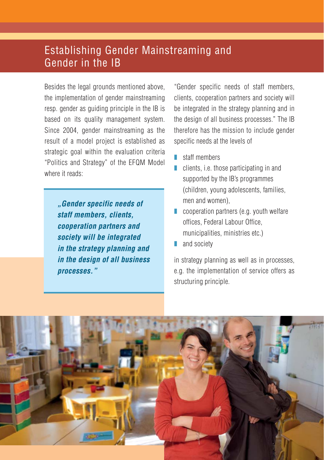# Establishing Gender Mainstreaming and Gender in the IB

Besides the legal grounds mentioned above, the implementation of gender mainstreaming resp. gender as guiding principle in the IB is based on its quality management system. Since 2004, gender mainstreaming as the result of a model project is established as strategic goal within the evaluation criteria "Politics and Strategy" of the EFQM Model where it reads:

> **"Gender specific needs of staff members, clients, cooperation partners and society will be integrated in the strategy planning and in the design of all business processes."**

"Gender specific needs of staff members, clients, cooperation partners and society will be integrated in the strategy planning and in the design of all business processes." The IB therefore has the mission to include gender specific needs at the levels of

- z staff members
- $\blacksquare$  clients, i.e. those participating in and supported by the IB's programmes (children, young adolescents, families, men and women),
- $\Box$  cooperation partners (e.g. youth welfare offices, Federal Labour Office, municipalities, ministries etc.)
- $\blacksquare$  and society

in strategy planning as well as in processes, e.g. the implementation of service offers as structuring principle.

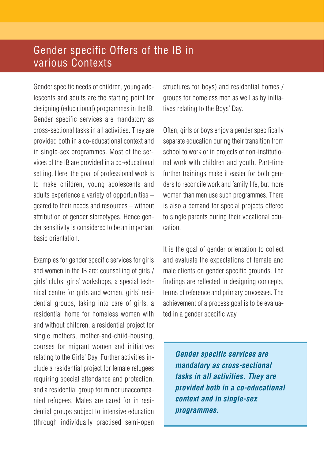# Gender specific Offers of the IB in various Contexts

Gender specific needs of children, young adolescents and adults are the starting point for designing (educational) programmes in the IB. Gender specific services are mandatory as cross-sectional tasks in all activities. They are provided both in a co-educational context and in single-sex programmes. Most of the services of the IB are provided in a co-educational setting. Here, the goal of professional work is to make children, young adolescents and adults experience a variety of opportunities – geared to their needs and resources – without attribution of gender stereotypes. Hence gender sensitivity is considered to be an important basic orientation.

Examples for gender specific services for girls and women in the IB are: counselling of girls / girls' clubs, girls' workshops, a special technical centre for girls and women, girls' residential groups, taking into care of girls, a residential home for homeless women with and without children, a residential project for single mothers, mother-and-child-housing, courses for migrant women and initiatives relating to the Girls' Day. Further activities include a residential project for female refugees requiring special attendance and protection, and a residential group for minor unaccompanied refugees. Males are cared for in residential groups subject to intensive education (through individually practised semi-open structures for boys) and residential homes / groups for homeless men as well as by initiatives relating to the Boys' Day.

Often, girls or boys enjoy a gender specifically separate education during their transition from school to work or in projects of non-institutional work with children and youth. Part-time further trainings make it easier for both genders to reconcile work and family life, but more women than men use such programmes. There is also a demand for special projects offered to single parents during their vocational education.

It is the goal of gender orientation to collect and evaluate the expectations of female and male clients on gender specific grounds. The findings are reflected in designing concepts, terms of reference and primary processes. The achievement of a process goal is to be evaluated in a gender specific way.

**Gender specific services are mandatory as cross-sectional tasks in all activities. They are provided both in a co-educational context and in single-sex programmes.**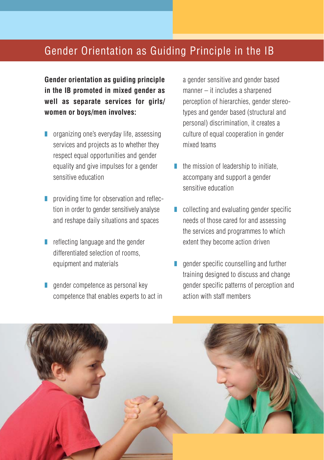## Gender Orientation as Guiding Principle in the IB

**Gender orientation as guiding principle in the IB promoted in mixed gender as well as separate services for girls/ women or boys/men involves:**

- $\Box$  organizing one's everyday life, assessing services and projects as to whether they respect equal opportunities and gender equality and give impulses for a gender sensitive education
- **peroviding time for observation and reflec**tion in order to gender sensitively analyse and reshape daily situations and spaces
- $\blacksquare$  reflecting language and the gender differentiated selection of rooms, equipment and materials
- $\Box$  gender competence as personal key competence that enables experts to act in

a gender sensitive and gender based manner – it includes a sharpened perception of hierarchies, gender stereotypes and gender based (structural and personal) discrimination, it creates a culture of equal cooperation in gender mixed teams

- $\blacksquare$  the mission of leadership to initiate, accompany and support a gender sensitive education
- $\Box$  collecting and evaluating gender specific needs of those cared for and assessing the services and programmes to which extent they become action driven
- $\Box$  gender specific counselling and further training designed to discuss and change gender specific patterns of perception and action with staff members

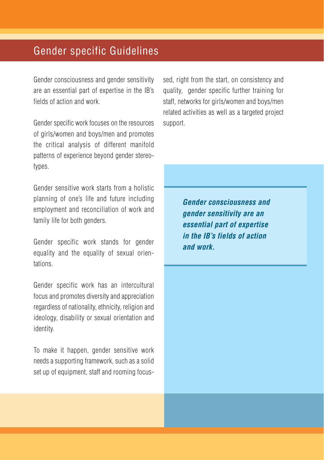# Gender specific Guidelines

Gender consciousness and gender sensitivity are an essential part of expertise in the IB's fields of action and work.

Gender specific work focuses on the resources of girls/women and boys/men and promotes the critical analysis of different manifold patterns of experience beyond gender stereotypes.

Gender sensitive work starts from a holistic planning of one's life and future including employment and reconciliation of work and family life for both genders.

Gender specific work stands for gender equality and the equality of sexual orientations.

Gender specific work has an intercultural focus and promotes diversity and appreciation regardless of nationality, ethnicity, religion and ideology, disability or sexual orientation and identity.

To make it happen, gender sensitive work needs a supporting framework, such as a solid set up of equipment, staff and rooming focus-

sed, right from the start, on consistency and quality, gender specific further training for staff, networks for girls/women and boys/men related activities as well as a targeted project support.

> **Gender consciousness and gender sensitivity are an essential part of expertise in the IB's fields of action and work.**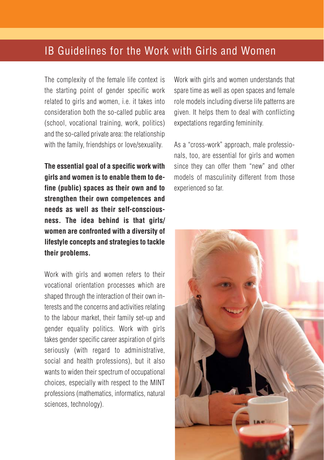### IB Guidelines for the Work with Girls and Women

The complexity of the female life context is the starting point of gender specific work related to girls and women, i.e. it takes into consideration both the so-called public area (school, vocational training, work, politics) and the so-called private area: the relationship with the family, friendships or love/sexuality.

**The essential goal of a specific work with girls and women is to enable them to define (public) spaces as their own and to strengthen their own competences and needs as well as their self-consciousness. The idea behind is that girls/ women are confronted with a diversity of lifestyle concepts and strategies to tackle their problems.**

Work with girls and women refers to their vocational orientation processes which are shaped through the interaction of their own interests and the concerns and activities relating to the labour market, their family set-up and gender equality politics. Work with girls takes gender specific career aspiration of girls seriously (with regard to administrative, social and health professions), but it also wants to widen their spectrum of occupational choices, especially with respect to the MINT professions (mathematics, informatics, natural sciences, technology).

Work with girls and women understands that spare time as well as open spaces and female role models including diverse life patterns are given. It helps them to deal with conflicting expectations regarding femininity.

As a "cross-work" approach, male professionals, too, are essential for girls and women since they can offer them "new" and other models of masculinity different from those experienced so far.

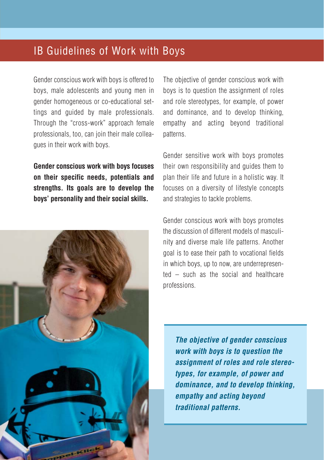## IB Guidelines of Work with Boys

Gender conscious work with boys is offered to boys, male adolescents and young men in gender homogeneous or co-educational settings and guided by male professionals. Through the "cross-work" approach female professionals, too, can join their male colleagues in their work with boys.

**Gender conscious work with boys focuses on their specific needs, potentials and strengths. Its goals are to develop the boys' personality and their social skills.**



The objective of gender conscious work with boys is to question the assignment of roles and role stereotypes, for example, of power and dominance, and to develop thinking, empathy and acting beyond traditional patterns.

Gender sensitive work with boys promotes their own responsibility and guides them to plan their life and future in a holistic way. It focuses on a diversity of lifestyle concepts and strategies to tackle problems.

Gender conscious work with boys promotes the discussion of different models of masculinity and diverse male life patterns. Another goal is to ease their path to vocational fields in which boys, up to now, are underrepresented – such as the social and healthcare professions.

**The objective of gender conscious work with boys is to question the assignment of roles and role stereotypes, for example, of power and dominance, and to develop thinking, empathy and acting beyond traditional patterns.**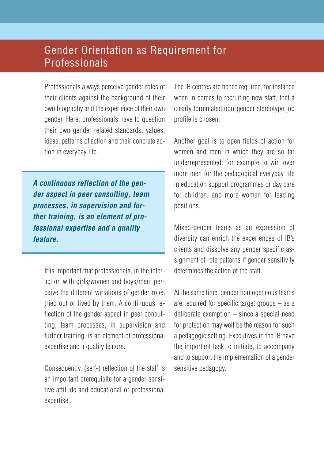# Gender Orientation as Requirement for Professionals

Professionals always perceive gender roles of their clients against the background of their own biography and the experience of their own gender. Here, professionals have to question their own gender related standards, values, ideas, patterns of action and their concrete action in everyday life.

**A continuous reflection of the gender aspect in peer consulting, team processes, in supervision and further training, is an element of professional expertise and a quality feature.**

It is important that professionals, in the interaction with girls/women and boys/men, perceive the different variations of gender roles tried out or lived by them. A continuous reflection of the gender aspect in peer consulting, team processes, in supervision and further training, is an element of professional expertise and a quality feature.

Consequently, (self-) reflection of the staff is an important prerequisite for a gender sensitive attitude and educational or professional expertise.

The IB centres are hence required, for instance when in comes to recruiting new staff, that a clearly formulated non-gender stereotype job profile is chosen.

Another goal is to open fields of action for women and men in which they are so far underrepresented: for example to win over more men for the pedagogical everyday life in education support programmes or day care for children, and more women for leading positions.

Mixed-gender teams as an expression of diversity can enrich the experiences of IB's clients and dissolve any gender specific assignment of role patterns if gender sensitivity determines the action of the staff.

At the same time, gender homogeneous teams are required for specific target groups – as a deliberate exemption – since a special need for protection may well be the reason for such a pedagogic setting. Executives in the IB have the important task to initiate, to accompany and to support the implementation of a gender sensitive pedagogy.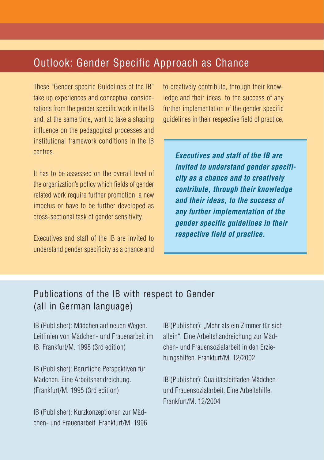# Outlook: Gender Specific Approach as Chance

These "Gender specific Guidelines of the IB" take up experiences and conceptual considerations from the gender specific work in the IB and, at the same time, want to take a shaping influence on the pedagogical processes and institutional framework conditions in the IB centres.

It has to be assessed on the overall level of the organization's policy which fields of gender related work require further promotion, a new impetus or have to be further developed as cross-sectional task of gender sensitivity.

Executives and staff of the IB are invited to understand gender specificity as a chance and to creatively contribute, through their knowledge and their ideas, to the success of any further implementation of the gender specific guidelines in their respective field of practice.

**Executives and staff of the IB are invited to understand gender specificity as a chance and to creatively contribute, through their knowledge and their ideas, to the success of any further implementation of the gender specific guidelines in their respective field of practice.** 

#### Publications of the IB with respect to Gender (all in German language)

IB (Publisher): Mädchen auf neuen Wegen. Leitlinien von Mädchen- und Frauenarbeit im IB. Frankfurt/M. 1998 (3rd edition)

IB (Publisher): Berufliche Perspektiven für Mädchen. Eine Arbeitshandreichung. (Frankfurt/M. 1995 (3rd edition)

IB (Publisher): Kurzkonzeptionen zur Mädchen- und Frauenarbeit. Frankfurt/M. 1996 IB (Publisher): "Mehr als ein Zimmer für sich allein". Eine Arbeitshandreichung zur Mädchen- und Frauensozialarbeit in den Erziehungshilfen. Frankfurt/M. 12/2002

IB (Publisher): Qualitätsleitfaden Mädchenund Frauensozialarbeit. Eine Arbeitshilfe. Frankfurt/M. 12/2004